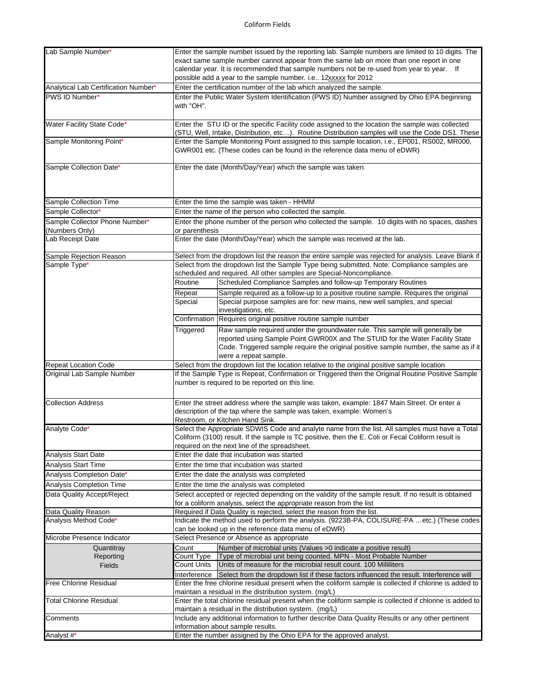| Lab Sample Number*                   | Enter the sample number issued by the reporting lab. Sample numbers are limited to 10 digits. The       |                                                                                                        |  |  |
|--------------------------------------|---------------------------------------------------------------------------------------------------------|--------------------------------------------------------------------------------------------------------|--|--|
|                                      |                                                                                                         | exact same sample number cannot appear from the same lab on more than one report in one                |  |  |
|                                      | calendar year. It is recommended that sample numbers not be re-used from year to year. If               |                                                                                                        |  |  |
|                                      | possible add a year to the sample number. i.e 12xxxxx for 2012                                          |                                                                                                        |  |  |
|                                      |                                                                                                         |                                                                                                        |  |  |
| Analytical Lab Certification Number* |                                                                                                         | Enter the certification number of the lab which analyzed the sample.                                   |  |  |
| PWS ID Number*                       | Enter the Public Water System Identification (PWS ID) Number assigned by Ohio EPA beginning             |                                                                                                        |  |  |
|                                      | with "OH".                                                                                              |                                                                                                        |  |  |
|                                      |                                                                                                         |                                                                                                        |  |  |
| Water Facility State Code*           |                                                                                                         | Enter the STU ID or the specific Facility code assigned to the location the sample was collected       |  |  |
|                                      |                                                                                                         |                                                                                                        |  |  |
|                                      |                                                                                                         | (STU, Well, Intake, Distribution, etc). Routine Distribution samples will use the Code DS1. These      |  |  |
| Sample Monitoring Point*             |                                                                                                         | Enter the Sample Monitoring Point assigned to this sample location, i.e., EP001, RS002, MR000,         |  |  |
|                                      |                                                                                                         | GWR001 etc. (These codes can be found in the reference data menu of eDWR)                              |  |  |
|                                      |                                                                                                         |                                                                                                        |  |  |
| Sample Collection Date*              | Enter the date (Month/Day/Year) which the sample was taken.                                             |                                                                                                        |  |  |
|                                      |                                                                                                         |                                                                                                        |  |  |
|                                      |                                                                                                         |                                                                                                        |  |  |
|                                      |                                                                                                         |                                                                                                        |  |  |
|                                      |                                                                                                         |                                                                                                        |  |  |
| Sample Collection Time               | Enter the time the sample was taken - HHMM                                                              |                                                                                                        |  |  |
| Sample Collector*                    | Enter the name of the person who collected the sample.                                                  |                                                                                                        |  |  |
| Sample Collector Phone Number*       | Enter the phone number of the person who collected the sample. 10 digits with no spaces, dashes         |                                                                                                        |  |  |
| (Numbers Only)                       | or parenthesis                                                                                          |                                                                                                        |  |  |
| Lab Receipt Date                     | Enter the date (Month/Day/Year) which the sample was received at the lab.                               |                                                                                                        |  |  |
|                                      |                                                                                                         |                                                                                                        |  |  |
|                                      |                                                                                                         |                                                                                                        |  |  |
| Sample Rejection Reason              |                                                                                                         | Select from the dropdown list the reason the entire sample was rejected for analysis. Leave Blank if   |  |  |
| Sample Type*                         |                                                                                                         | Select from the dropdown list the Sample Type being submitted. Note: Compliance samples are            |  |  |
|                                      |                                                                                                         | scheduled and required. All other samples are Special-Noncompliance.                                   |  |  |
|                                      | Routine                                                                                                 | Scheduled Compliance Samples and follow-up Temporary Routines                                          |  |  |
|                                      | Repeat                                                                                                  | Sample required as a follow-up to a positive routine sample. Requires the original                     |  |  |
|                                      |                                                                                                         |                                                                                                        |  |  |
|                                      | Special                                                                                                 | Special purpose samples are for: new mains, new well samples, and special                              |  |  |
|                                      |                                                                                                         | investigations, etc.                                                                                   |  |  |
|                                      | Confirmation                                                                                            | Requires original positive routine sample number                                                       |  |  |
|                                      | Triggered                                                                                               | Raw sample required under the groundwater rule. This sample will generally be                          |  |  |
|                                      |                                                                                                         | reported using Sample Point GWR00X and The STUID for the Water Facility State                          |  |  |
|                                      |                                                                                                         |                                                                                                        |  |  |
|                                      |                                                                                                         | Code. Triggered sample require the original positive sample number, the same as if it                  |  |  |
|                                      |                                                                                                         | were a repeat sample.                                                                                  |  |  |
| <b>Repeat Location Code</b>          |                                                                                                         | Select from the dropdown list the location relative to the original positive sample location           |  |  |
| Original Lab Sample Number           |                                                                                                         | If the Sample Type is Repeat, Confirmation or Triggered then the Original Routine Positive Sample      |  |  |
|                                      | number is required to be reported on this line.                                                         |                                                                                                        |  |  |
|                                      |                                                                                                         |                                                                                                        |  |  |
|                                      |                                                                                                         |                                                                                                        |  |  |
| <b>Collection Address</b>            | Enter the street address where the sample was taken, example: 1847 Main Street. Or enter a              |                                                                                                        |  |  |
|                                      |                                                                                                         | description of the tap where the sample was taken, example: Women's                                    |  |  |
|                                      |                                                                                                         | Restroom, or Kitchen Hand Sink.                                                                        |  |  |
| Analyte Code*                        |                                                                                                         | Select the Appropriate SDWIS Code and analyte name from the list. All samples must have a Total        |  |  |
|                                      |                                                                                                         | Coliform (3100) result. If the sample is TC positive, then the E. Coli or Fecal Coliform result is     |  |  |
|                                      |                                                                                                         |                                                                                                        |  |  |
|                                      |                                                                                                         | required on the next line of the spreadsheet.                                                          |  |  |
| <b>Analysis Start Date</b>           | Enter the date that incubation was started                                                              |                                                                                                        |  |  |
| <b>Analysis Start Time</b>           | Enter the time that incubation was started                                                              |                                                                                                        |  |  |
| Analysis Completion Date*            | Enter the date the analysis was completed                                                               |                                                                                                        |  |  |
|                                      |                                                                                                         |                                                                                                        |  |  |
| <b>Analysis Completion Time</b>      |                                                                                                         | Enter the time the analysis was completed                                                              |  |  |
| Data Quality Accept/Reject           |                                                                                                         | Select accepted or rejected depending on the validity of the sample result. If no result is obtained   |  |  |
|                                      |                                                                                                         | for a coliform analysis, select the appropriate reason from the list                                   |  |  |
| Data Quality Reason                  | Required if Data Quality is rejected, select the reason from the list.                                  |                                                                                                        |  |  |
| Analysis Method Code*                |                                                                                                         | Indicate the method used to perform the analysis. (9223B-PA, COLISURE-PA etc.) (These codes            |  |  |
|                                      |                                                                                                         | can be looked up in the reference data menu of eDWR)                                                   |  |  |
| Microbe Presence Indicator           |                                                                                                         | Select Presence or Absence as appropriate                                                              |  |  |
|                                      |                                                                                                         |                                                                                                        |  |  |
| Quantitray                           | Count                                                                                                   | Number of microbial units (Values >0 indicate a positive result)                                       |  |  |
| Reporting                            | Count Type                                                                                              | Type of microbial unit being counted. MPN - Most Probable Number                                       |  |  |
| Fields                               | Count Units                                                                                             | Units of measure for the microbial result count. 100 Milliliters                                       |  |  |
|                                      | Interference                                                                                            | Select from the dropdown list if these factors influenced the result. Interference will                |  |  |
| <b>Free Chlorine Residual</b>        |                                                                                                         | Enter the free chlorine residual present when the coliform sample is collected if chlorine is added to |  |  |
|                                      |                                                                                                         |                                                                                                        |  |  |
|                                      | maintain a residual in the distribution system. (mg/L)                                                  |                                                                                                        |  |  |
| <b>Total Chlorine Residual</b>       | Enter the total chlorine residual present when the coliform sample is collected if chlorine is added to |                                                                                                        |  |  |
|                                      |                                                                                                         | maintain a residual in the distribution system. (mg/L)                                                 |  |  |
| Comments                             |                                                                                                         | Include any additional information to further describe Data Quality Results or any other pertinent     |  |  |
|                                      | information about sample results.                                                                       |                                                                                                        |  |  |
| Analyst #*                           |                                                                                                         | Enter the number assigned by the Ohio EPA for the approved analyst.                                    |  |  |
|                                      |                                                                                                         |                                                                                                        |  |  |